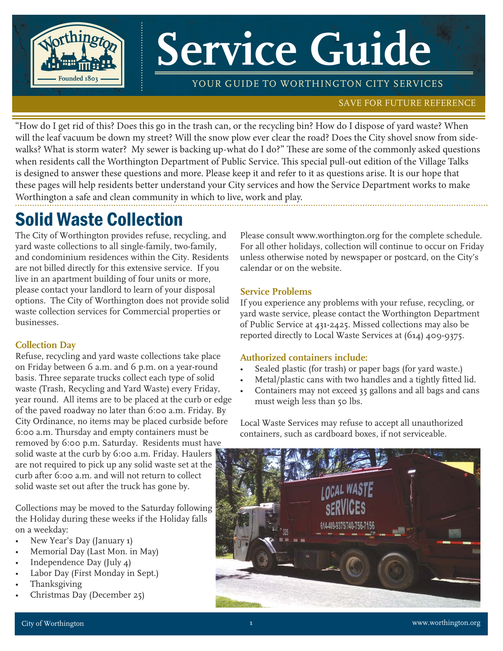

# **Service Guide**

YOUR GUIDE TO WORTHINGTON CITY SERVICES

#### SAVE FOR FUTURE REFERENCE

"How do I get rid of this? Does this go in the trash can, or the recycling bin? How do I dispose of yard waste? When will the leaf vacuum be down my street? Will the snow plow ever clear the road? Does the City shovel snow from sidewalks? What is storm water? My sewer is backing up-what do I do?" These are some of the commonly asked questions when residents call the Worthington Department of Public Service. This special pull-out edition of the Village Talks is designed to answer these questions and more. Please keep it and refer to it as questions arise. It is our hope that these pages will help residents better understand your City services and how the Service Department works to make Worthington a safe and clean community in which to live, work and play.

## Solid Waste Collection

The City of Worthington provides refuse, recycling, and yard waste collections to all single-family, two-family, and condominium residences within the City. Residents are not billed directly for this extensive service. If you live in an apartment building of four units or more, please contact your landlord to learn of your disposal options. The City of Worthington does not provide solid waste collection services for Commercial properties or businesses.

#### **Collection Day**

Refuse, recycling and yard waste collections take place on Friday between 6 a.m. and 6 p.m. on a year-round basis. Three separate trucks collect each type of solid waste (Trash, Recycling and Yard Waste) every Friday, year round. All items are to be placed at the curb or edge of the paved roadway no later than 6:00 a.m. Friday. By City Ordinance, no items may be placed curbside before 6:00 a.m. Thursday and empty containers must be removed by 6:00 p.m. Saturday. Residents must have solid waste at the curb by 6:00 a.m. Friday. Haulers are not required to pick up any solid waste set at the curb after 6:00 a.m. and will not return to collect solid waste set out after the truck has gone by.

Collections may be moved to the Saturday following the Holiday during these weeks if the Holiday falls on a weekday:

- New Year's Day (January 1)
- Memorial Day (Last Mon. in May)
- Independence Day (July 4)
- Labor Day (First Monday in Sept.)
- Thanksgiving
- Christmas Day (December 25)

Please consult www.worthington.org for the complete schedule. For all other holidays, collection will continue to occur on Friday unless otherwise noted by newspaper or postcard, on the City's calendar or on the website.

#### **Service Problems**

If you experience any problems with your refuse, recycling, or yard waste service, please contact the Worthington Department of Public Service at 431-2425. Missed collections may also be reported directly to Local Waste Services at (614) 409-9375.

#### **Authorized containers include:**

- Sealed plastic (for trash) or paper bags (for yard waste.)
- Metal/plastic cans with two handles and a tightly fitted lid.
- Containers may not exceed 35 gallons and all bags and cans must weigh less than 50 lbs.

Local Waste Services may refuse to accept all unauthorized containers, such as cardboard boxes, if not serviceable.

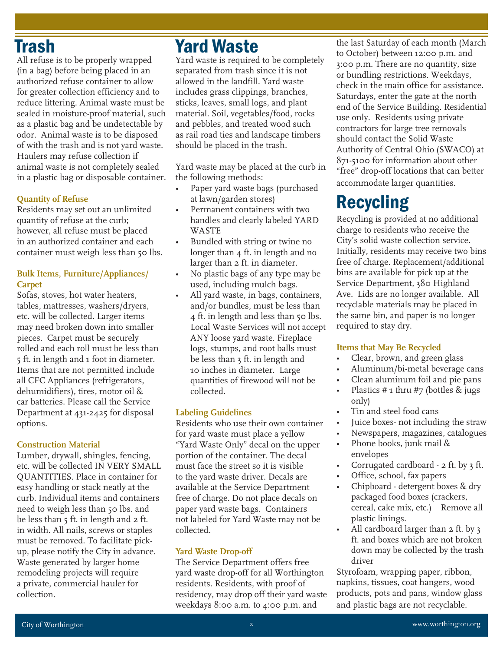## Trash

All refuse is to be properly wrapped (in a bag) before being placed in an authorized refuse container to allow for greater collection efficiency and to reduce littering. Animal waste must be sealed in moisture-proof material, such as a plastic bag and be undetectable by odor. Animal waste is to be disposed of with the trash and is not yard waste. Haulers may refuse collection if animal waste is not completely sealed in a plastic bag or disposable container.

#### **Quantity of Refuse**

Residents may set out an unlimited quantity of refuse at the curb; however, all refuse must be placed in an authorized container and each container must weigh less than 50 lbs.

#### **Bulk Items, Furniture/Appliances/ Carpet**

Sofas, stoves, hot water heaters, tables, mattresses, washers/dryers, etc. will be collected. Larger items may need broken down into smaller pieces. Carpet must be securely rolled and each roll must be less than 5 ft. in length and 1 foot in diameter. Items that are not permitted include all CFC Appliances (refrigerators, dehumidifiers), tires, motor oil & car batteries. Please call the Service Department at 431-2425 for disposal options.

#### **Construction Material**

Lumber, drywall, shingles, fencing, etc. will be collected IN VERY SMALL QUANTITIES. Place in container for easy handling or stack neatly at the curb. Individual items and containers need to weigh less than 50 lbs. and be less than 5 ft. in length and 2 ft. in width. All nails, screws or staples must be removed. To facilitate pickup, please notify the City in advance. Waste generated by larger home remodeling projects will require a private, commercial hauler for collection.

## Yard Waste

Yard waste is required to be completely separated from trash since it is not allowed in the landfill. Yard waste includes grass clippings, branches, sticks, leaves, small logs, and plant material. Soil, vegetables/food, rocks and pebbles, and treated wood such as rail road ties and landscape timbers should be placed in the trash.

Yard waste may be placed at the curb in the following methods:

- Paper yard waste bags (purchased at lawn/garden stores)
- Permanent containers with two handles and clearly labeled YARD WASTE
- Bundled with string or twine no longer than 4 ft. in length and no larger than 2 ft. in diameter.
- No plastic bags of any type may be used, including mulch bags.
- All yard waste, in bags, containers, and/or bundles, must be less than 4 ft. in length and less than 50 lbs. Local Waste Services will not accept ANY loose yard waste. Fireplace logs, stumps, and root balls must be less than 3 ft. in length and 10 inches in diameter. Large quantities of firewood will not be collected.

#### **Labeling Guidelines**

Residents who use their own container for yard waste must place a yellow "Yard Waste Only" decal on the upper portion of the container. The decal must face the street so it is visible to the yard waste driver. Decals are available at the Service Department free of charge. Do not place decals on paper yard waste bags. Containers not labeled for Yard Waste may not be collected.

#### **Yard Waste Drop-off**

The Service Department offers free yard waste drop-off for all Worthington residents. Residents, with proof of residency, may drop off their yard waste weekdays 8:00 a.m. to 4:00 p.m. and

the last Saturday of each month (March to October) between 12:00 p.m. and 3:00 p.m. There are no quantity, size or bundling restrictions. Weekdays, check in the main office for assistance. Saturdays, enter the gate at the north end of the Service Building. Residential use only. Residents using private contractors for large tree removals should contact the Solid Waste Authority of Central Ohio (SWACO) at 871-5100 for information about other "free" drop-off locations that can better accommodate larger quantities.

# Recycling

Recycling is provided at no additional charge to residents who receive the City's solid waste collection service. Initially, residents may receive two bins free of charge. Replacement/additional bins are available for pick up at the Service Department, 380 Highland Ave. Lids are no longer available. All recyclable materials may be placed in the same bin, and paper is no longer required to stay dry.

#### **Items that May Be Recycled**

- Clear, brown, and green glass
- Aluminum/bi-metal beverage cans
- Clean aluminum foil and pie pans
- Plastics  $#_1$  thru  $#_7$  (bottles  $\&$  jugs only)
- Tin and steel food cans
- Juice boxes not including the straw
- Newspapers, magazines, catalogues
- Phone books, junk mail & envelopes
- Corrugated cardboard 2 ft. by 3 ft.
- Office, school, fax papers
- Chipboard detergent boxes & dry packaged food boxes (crackers, cereal, cake mix, etc.) Remove all plastic linings.
- All cardboard larger than 2 ft. by 3 ft. and boxes which are not broken down may be collected by the trash driver

Styrofoam, wrapping paper, ribbon, napkins, tissues, coat hangers, wood products, pots and pans, window glass and plastic bags are not recyclable.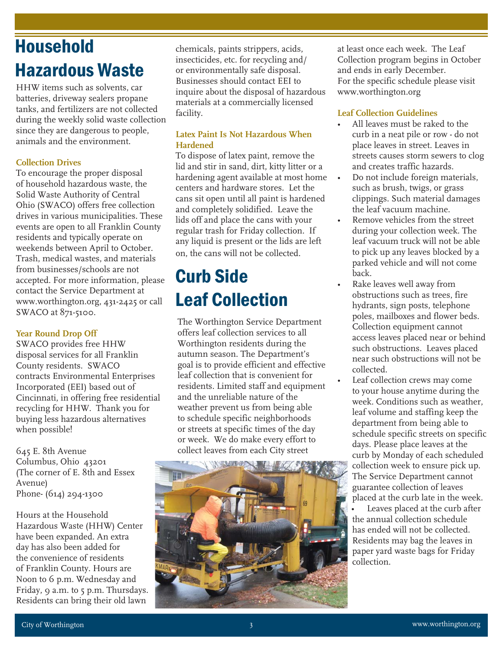# **Household** Hazardous Waste

HHW items such as solvents, car batteries, driveway sealers propane tanks, and fertilizers are not collected during the weekly solid waste collection since they are dangerous to people, animals and the environment.

#### **Collection Drives**

To encourage the proper disposal of household hazardous waste, the Solid Waste Authority of Central Ohio (SWACO) offers free collection drives in various municipalities. These events are open to all Franklin County residents and typically operate on weekends between April to October. Trash, medical wastes, and materials from businesses/schools are not accepted. For more information, please contact the Service Department at www.worthington.org, 431-2425 or call SWACO at 871-5100.

#### **Year Round Drop Off**

SWACO provides free HHW disposal services for all Franklin County residents. SWACO contracts Environmental Enterprises Incorporated (EEI) based out of Cincinnati, in offering free residential recycling for HHW. Thank you for buying less hazardous alternatives when possible!

645 E. 8th Avenue Columbus, Ohio 43201 (The corner of E. 8th and Essex Avenue) Phone- (614) 294-1300

Hours at the Household Hazardous Waste (HHW) Center have been expanded. An extra day has also been added for the convenience of residents of Franklin County. Hours are Noon to 6 p.m. Wednesday and Friday, 9 a.m. to 5 p.m. Thursdays. Residents can bring their old lawn

chemicals, paints strippers, acids, insecticides, etc. for recycling and/ or environmentally safe disposal. Businesses should contact EEI to inquire about the disposal of hazardous materials at a commercially licensed facility.

#### **Latex Paint Is Not Hazardous When Hardened**

To dispose of latex paint, remove the lid and stir in sand, dirt, kitty litter or a hardening agent available at most home centers and hardware stores. Let the cans sit open until all paint is hardened and completely solidified. Leave the lids off and place the cans with your regular trash for Friday collection. If any liquid is present or the lids are left on, the cans will not be collected.

# Curb Side Leaf Collection

The Worthington Service Department offers leaf collection services to all Worthington residents during the autumn season. The Department's goal is to provide efficient and effective leaf collection that is convenient for residents. Limited staff and equipment and the unreliable nature of the weather prevent us from being able to schedule specific neighborhoods or streets at specific times of the day or week. We do make every effort to collect leaves from each City street



at least once each week. The Leaf Collection program begins in October and ends in early December. For the specific schedule please visit www.worthington.org

#### **Leaf Collection Guidelines**

**Snow Removal**

- All leaves must be raked to the curb in a neat pile or row - do not place leaves in street. Leaves in streets causes storm sewers to clog and creates traffic hazards.
- Do not include foreign materials, such as brush, twigs, or grass clippings. Such material damages the leaf vacuum machine.
- Remove vehicles from the street during your collection week. The leaf vacuum truck will not be able to pick up any leaves blocked by a parked vehicle and will not come back.
- Rake leaves well away from obstructions such as trees, fire hydrants, sign posts, telephone poles, mailboxes and flower beds. Collection equipment cannot access leaves placed near or behind such obstructions. Leaves placed near such obstructions will not be collected.
- Leaf collection crews may come to your house anytime during the week. Conditions such as weather, leaf volume and staffing keep the department from being able to schedule specific streets on specific days. Please place leaves at the curb by Monday of each scheduled collection week to ensure pick up. The Service Department cannot guarantee collection of leaves placed at the curb late in the week.

Leaves placed at the curb after the annual collection schedule has ended will not be collected. Residents may bag the leaves in paper yard waste bags for Friday collection.